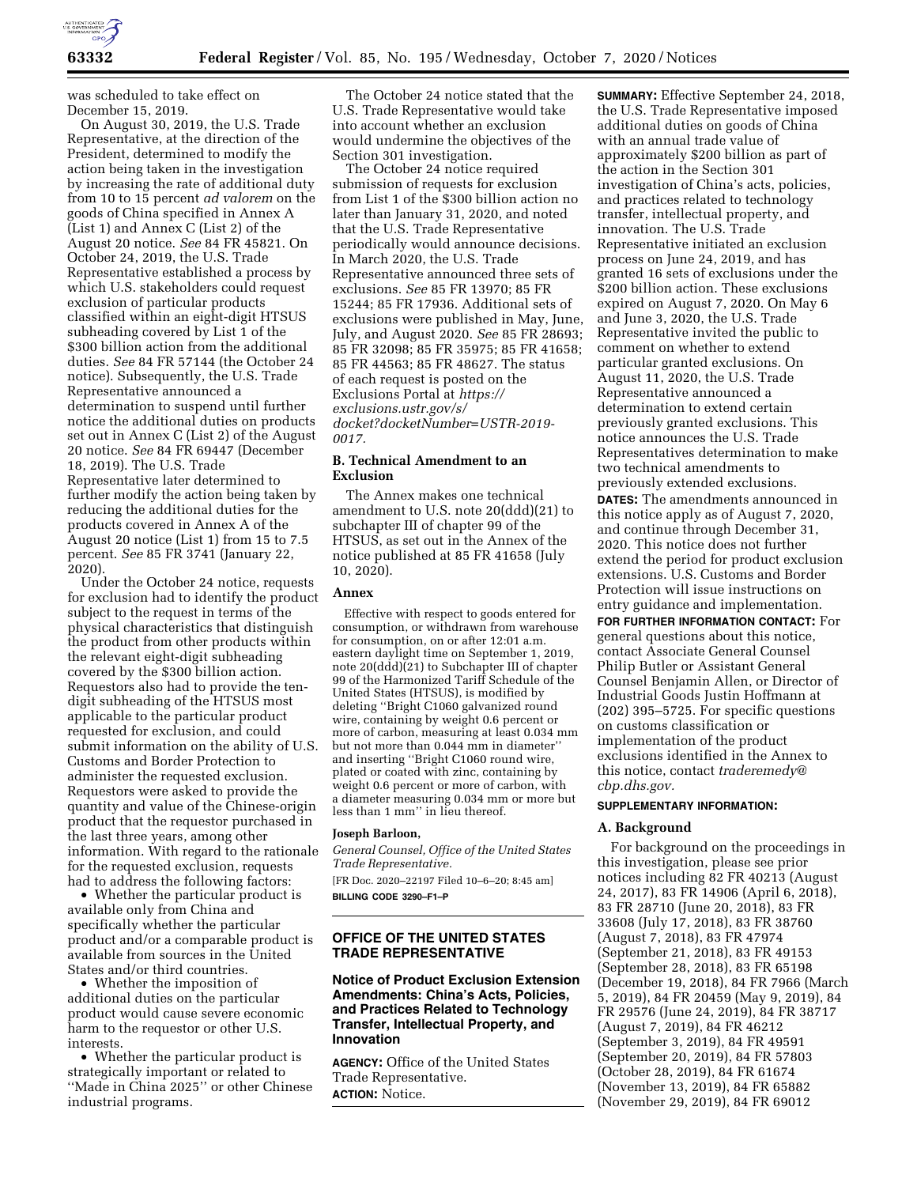

was scheduled to take effect on December 15, 2019.

On August 30, 2019, the U.S. Trade Representative, at the direction of the President, determined to modify the action being taken in the investigation by increasing the rate of additional duty from 10 to 15 percent *ad valorem* on the goods of China specified in Annex A (List 1) and Annex C (List 2) of the August 20 notice. *See* 84 FR 45821. On October 24, 2019, the U.S. Trade Representative established a process by which U.S. stakeholders could request exclusion of particular products classified within an eight-digit HTSUS subheading covered by List 1 of the \$300 billion action from the additional duties. *See* 84 FR 57144 (the October 24 notice). Subsequently, the U.S. Trade Representative announced a determination to suspend until further notice the additional duties on products set out in Annex C (List 2) of the August 20 notice. *See* 84 FR 69447 (December 18, 2019). The U.S. Trade Representative later determined to further modify the action being taken by reducing the additional duties for the products covered in Annex A of the August 20 notice (List 1) from 15 to 7.5 percent. *See* 85 FR 3741 (January 22, 2020).

Under the October 24 notice, requests for exclusion had to identify the product subject to the request in terms of the physical characteristics that distinguish the product from other products within the relevant eight-digit subheading covered by the \$300 billion action. Requestors also had to provide the tendigit subheading of the HTSUS most applicable to the particular product requested for exclusion, and could submit information on the ability of U.S. Customs and Border Protection to administer the requested exclusion. Requestors were asked to provide the quantity and value of the Chinese-origin product that the requestor purchased in the last three years, among other information. With regard to the rationale for the requested exclusion, requests had to address the following factors:

• Whether the particular product is available only from China and specifically whether the particular product and/or a comparable product is available from sources in the United States and/or third countries.

• Whether the imposition of additional duties on the particular product would cause severe economic harm to the requestor or other U.S. interests.

• Whether the particular product is strategically important or related to ''Made in China 2025'' or other Chinese industrial programs.

The October 24 notice stated that the U.S. Trade Representative would take into account whether an exclusion would undermine the objectives of the Section 301 investigation.

The October 24 notice required submission of requests for exclusion from List 1 of the \$300 billion action no later than January 31, 2020, and noted that the U.S. Trade Representative periodically would announce decisions. In March 2020, the U.S. Trade Representative announced three sets of exclusions. *See* 85 FR 13970; 85 FR 15244; 85 FR 17936. Additional sets of exclusions were published in May, June, July, and August 2020. *See* 85 FR 28693; 85 FR 32098; 85 FR 35975; 85 FR 41658; 85 FR 44563; 85 FR 48627. The status of each request is posted on the Exclusions Portal at *[https://](https://exclusions.ustr.gov/s/docket?docketNumber=USTR-2019-0017) [exclusions.ustr.gov/s/](https://exclusions.ustr.gov/s/docket?docketNumber=USTR-2019-0017)  [docket?docketNumber=USTR-2019-](https://exclusions.ustr.gov/s/docket?docketNumber=USTR-2019-0017) [0017.](https://exclusions.ustr.gov/s/docket?docketNumber=USTR-2019-0017)* 

### **B. Technical Amendment to an Exclusion**

The Annex makes one technical amendment to U.S. note 20(ddd)(21) to subchapter III of chapter 99 of the HTSUS, as set out in the Annex of the notice published at 85 FR 41658 (July 10, 2020).

# **Annex**

Effective with respect to goods entered for consumption, or withdrawn from warehouse for consumption, on or after 12:01 a.m. eastern daylight time on September 1, 2019, note 20(ddd)(21) to Subchapter III of chapter 99 of the Harmonized Tariff Schedule of the United States (HTSUS), is modified by deleting ''Bright C1060 galvanized round wire, containing by weight 0.6 percent or more of carbon, measuring at least 0.034 mm but not more than 0.044 mm in diameter'' and inserting ''Bright C1060 round wire, plated or coated with zinc, containing by weight 0.6 percent or more of carbon, with a diameter measuring 0.034 mm or more but less than 1 mm'' in lieu thereof.

#### **Joseph Barloon,**

*General Counsel, Office of the United States Trade Representative.* 

[FR Doc. 2020–22197 Filed 10–6–20; 8:45 am]

**BILLING CODE 3290–F1–P** 

# **OFFICE OF THE UNITED STATES TRADE REPRESENTATIVE**

### **Notice of Product Exclusion Extension Amendments: China's Acts, Policies, and Practices Related to Technology Transfer, Intellectual Property, and Innovation**

**AGENCY:** Office of the United States Trade Representative. **ACTION:** Notice.

**SUMMARY:** Effective September 24, 2018, the U.S. Trade Representative imposed additional duties on goods of China with an annual trade value of approximately \$200 billion as part of the action in the Section 301 investigation of China's acts, policies, and practices related to technology transfer, intellectual property, and innovation. The U.S. Trade Representative initiated an exclusion process on June 24, 2019, and has granted 16 sets of exclusions under the \$200 billion action. These exclusions expired on August 7, 2020. On May 6 and June 3, 2020, the U.S. Trade Representative invited the public to comment on whether to extend particular granted exclusions. On August 11, 2020, the U.S. Trade Representative announced a determination to extend certain previously granted exclusions. This notice announces the U.S. Trade Representatives determination to make two technical amendments to previously extended exclusions. **DATES:** The amendments announced in this notice apply as of August 7, 2020, and continue through December 31, 2020. This notice does not further extend the period for product exclusion extensions. U.S. Customs and Border Protection will issue instructions on entry guidance and implementation.

**FOR FURTHER INFORMATION CONTACT:** For general questions about this notice, contact Associate General Counsel Philip Butler or Assistant General Counsel Benjamin Allen, or Director of Industrial Goods Justin Hoffmann at (202) 395–5725. For specific questions on customs classification or implementation of the product exclusions identified in the Annex to this notice, contact *[traderemedy@](mailto:traderemedy@cbp.dhs.gov) [cbp.dhs.gov.](mailto:traderemedy@cbp.dhs.gov)* 

# **SUPPLEMENTARY INFORMATION:**

### **A. Background**

For background on the proceedings in this investigation, please see prior notices including 82 FR 40213 (August 24, 2017), 83 FR 14906 (April 6, 2018), 83 FR 28710 (June 20, 2018), 83 FR 33608 (July 17, 2018), 83 FR 38760 (August 7, 2018), 83 FR 47974 (September 21, 2018), 83 FR 49153 (September 28, 2018), 83 FR 65198 (December 19, 2018), 84 FR 7966 (March 5, 2019), 84 FR 20459 (May 9, 2019), 84 FR 29576 (June 24, 2019), 84 FR 38717 (August 7, 2019), 84 FR 46212 (September 3, 2019), 84 FR 49591 (September 20, 2019), 84 FR 57803 (October 28, 2019), 84 FR 61674 (November 13, 2019), 84 FR 65882 (November 29, 2019), 84 FR 69012